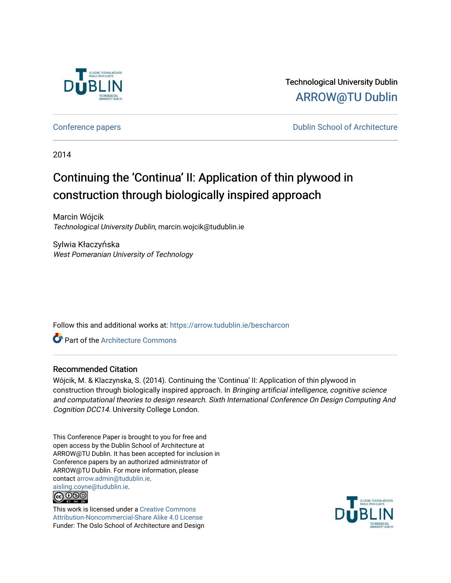

Technological University Dublin [ARROW@TU Dublin](https://arrow.tudublin.ie/) 

[Conference papers](https://arrow.tudublin.ie/bescharcon) **Conference papers Conference papers Conference papers Conference papers** 

2014

# Continuing the 'Continua' II: Application of thin plywood in construction through biologically inspired approach

Marcin Wójcik Technological University Dublin, marcin.wojcik@tudublin.ie

Sylwia Kłaczyńska West Pomeranian University of Technology

Follow this and additional works at: [https://arrow.tudublin.ie/bescharcon](https://arrow.tudublin.ie/bescharcon?utm_source=arrow.tudublin.ie%2Fbescharcon%2F18&utm_medium=PDF&utm_campaign=PDFCoverPages) 

**C** Part of the Architecture Commons

# Recommended Citation

Wójcik, M. & Klaczynska, S. (2014). Continuing the 'Continua' II: Application of thin plywood in construction through biologically inspired approach. In Bringing artificial intelligence, cognitive science and computational theories to design research. Sixth International Conference On Design Computing And Cognition DCC14. University College London.

This Conference Paper is brought to you for free and open access by the Dublin School of Architecture at ARROW@TU Dublin. It has been accepted for inclusion in Conference papers by an authorized administrator of ARROW@TU Dublin. For more information, please contact [arrow.admin@tudublin.ie,](mailto:arrow.admin@tudublin.ie,%20aisling.coyne@tudublin.ie)  [aisling.coyne@tudublin.ie.](mailto:arrow.admin@tudublin.ie,%20aisling.coyne@tudublin.ie)



This work is licensed under a [Creative Commons](http://creativecommons.org/licenses/by-nc-sa/4.0/) [Attribution-Noncommercial-Share Alike 4.0 License](http://creativecommons.org/licenses/by-nc-sa/4.0/) Funder: The Oslo School of Architecture and Design

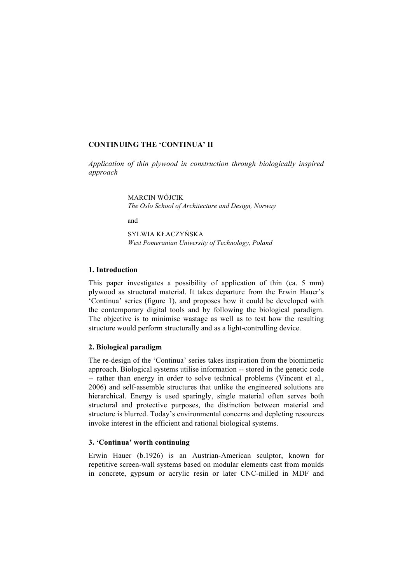# **CONTINUING THE 'CONTINUA' II**

*Application of thin plywood in construction through biologically inspired approach*

> MARCIN WÓJCIK *The Oslo School of Architecture and Design, Norway*

and

SYLWIA KŁACZYŃSKA *West Pomeranian University of Technology, Poland*

# **1. Introduction**

This paper investigates a possibility of application of thin (ca. 5 mm) plywood as structural material. It takes departure from the Erwin Hauer's 'Continua' series (figure 1), and proposes how it could be developed with the contemporary digital tools and by following the biological paradigm. The objective is to minimise wastage as well as to test how the resulting structure would perform structurally and as a light-controlling device.

### **2. Biological paradigm**

The re-design of the 'Continua' series takes inspiration from the biomimetic approach. Biological systems utilise information -- stored in the genetic code -- rather than energy in order to solve technical problems (Vincent et al., 2006) and self-assemble structures that unlike the engineered solutions are hierarchical. Energy is used sparingly, single material often serves both structural and protective purposes, the distinction between material and structure is blurred. Today's environmental concerns and depleting resources invoke interest in the efficient and rational biological systems.

#### **3. 'Continua' worth continuing**

Erwin Hauer (b.1926) is an Austrian-American sculptor, known for repetitive screen-wall systems based on modular elements cast from moulds in concrete, gypsum or acrylic resin or later CNC-milled in MDF and